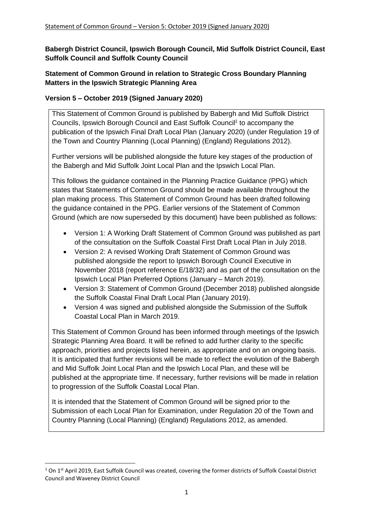**Babergh District Council, Ipswich Borough Council, Mid Suffolk District Council, East Suffolk Council and Suffolk County Council**

# **Statement of Common Ground in relation to Strategic Cross Boundary Planning Matters in the Ipswich Strategic Planning Area**

# **Version 5 – October 2019 (Signed January 2020)**

This Statement of Common Ground is published by Babergh and Mid Suffolk District Councils, Ipswich Borough Council and East Suffolk Council<sup>1</sup> to accompany the publication of the Ipswich Final Draft Local Plan (January 2020) (under Regulation 19 of the Town and Country Planning (Local Planning) (England) Regulations 2012).

Further versions will be published alongside the future key stages of the production of the Babergh and Mid Suffolk Joint Local Plan and the Ipswich Local Plan.

This follows the guidance contained in the Planning Practice Guidance (PPG) which states that Statements of Common Ground should be made available throughout the plan making process. This Statement of Common Ground has been drafted following the guidance contained in the PPG. Earlier versions of the Statement of Common Ground (which are now superseded by this document) have been published as follows:

- Version 1: A Working Draft Statement of Common Ground was published as part of the consultation on the Suffolk Coastal First Draft Local Plan in July 2018.
- Version 2: A revised Working Draft Statement of Common Ground was published alongside the report to Ipswich Borough Council Executive in November 2018 (report reference E/18/32) and as part of the consultation on the Ipswich Local Plan Preferred Options (January – March 2019).
- Version 3: Statement of Common Ground (December 2018) published alongside the Suffolk Coastal Final Draft Local Plan (January 2019).
- Version 4 was signed and published alongside the Submission of the Suffolk Coastal Local Plan in March 2019.

This Statement of Common Ground has been informed through meetings of the Ipswich Strategic Planning Area Board. It will be refined to add further clarity to the specific approach, priorities and projects listed herein, as appropriate and on an ongoing basis. It is anticipated that further revisions will be made to reflect the evolution of the Babergh and Mid Suffolk Joint Local Plan and the Ipswich Local Plan, and these will be published at the appropriate time. If necessary, further revisions will be made in relation to progression of the Suffolk Coastal Local Plan.

It is intended that the Statement of Common Ground will be signed prior to the Submission of each Local Plan for Examination, under Regulation 20 of the Town and Country Planning (Local Planning) (England) Regulations 2012, as amended.

1

 $1$  On  $1$ <sup>st</sup> April 2019, East Suffolk Council was created, covering the former districts of Suffolk Coastal District Council and Waveney District Council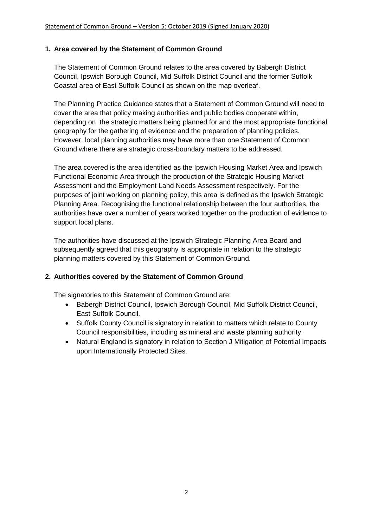### **1. Area covered by the Statement of Common Ground**

The Statement of Common Ground relates to the area covered by Babergh District Council, Ipswich Borough Council, Mid Suffolk District Council and the former Suffolk Coastal area of East Suffolk Council as shown on the map overleaf.

The Planning Practice Guidance states that a Statement of Common Ground will need to cover the area that policy making authorities and public bodies cooperate within, depending on the strategic matters being planned for and the most appropriate functional geography for the gathering of evidence and the preparation of planning policies. However, local planning authorities may have more than one Statement of Common Ground where there are strategic cross-boundary matters to be addressed.

The area covered is the area identified as the Ipswich Housing Market Area and Ipswich Functional Economic Area through the production of the Strategic Housing Market Assessment and the Employment Land Needs Assessment respectively. For the purposes of joint working on planning policy, this area is defined as the Ipswich Strategic Planning Area. Recognising the functional relationship between the four authorities, the authorities have over a number of years worked together on the production of evidence to support local plans.

The authorities have discussed at the Ipswich Strategic Planning Area Board and subsequently agreed that this geography is appropriate in relation to the strategic planning matters covered by this Statement of Common Ground.

# **2. Authorities covered by the Statement of Common Ground**

The signatories to this Statement of Common Ground are:

- Babergh District Council, Ipswich Borough Council, Mid Suffolk District Council, East Suffolk Council.
- Suffolk County Council is signatory in relation to matters which relate to County Council responsibilities, including as mineral and waste planning authority.
- Natural England is signatory in relation to Section J Mitigation of Potential Impacts upon Internationally Protected Sites.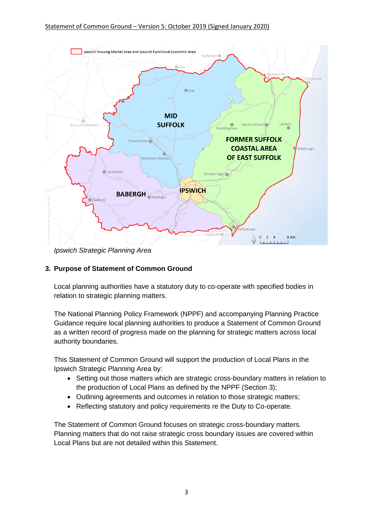

*Ipswich Strategic Planning Area*

# **3. Purpose of Statement of Common Ground**

Local planning authorities have a statutory duty to co-operate with specified bodies in relation to strategic planning matters.

The National Planning Policy Framework (NPPF) and accompanying Planning Practice Guidance require local planning authorities to produce a Statement of Common Ground as a written record of progress made on the planning for strategic matters across local authority boundaries.

This Statement of Common Ground will support the production of Local Plans in the Ipswich Strategic Planning Area by:

- Setting out those matters which are strategic cross-boundary matters in relation to the production of Local Plans as defined by the NPPF (Section 3);
- Outlining agreements and outcomes in relation to those strategic matters;
- Reflecting statutory and policy requirements re the Duty to Co-operate.

The Statement of Common Ground focuses on strategic cross-boundary matters. Planning matters that do not raise strategic cross boundary issues are covered within Local Plans but are not detailed within this Statement.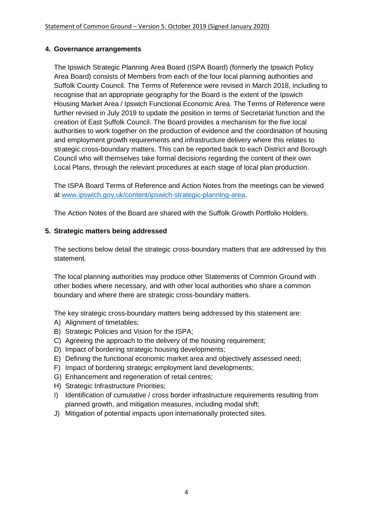### **4. Governance arrangements**

The Ipswich Strategic Planning Area Board (ISPA Board) (formerly the Ipswich Policy Area Board) consists of Members from each of the four local planning authorities and Suffolk County Council. The Terms of Reference were revised in March 2018, including to recognise that an appropriate geography for the Board is the extent of the Ipswich Housing Market Area / Ipswich Functional Economic Area. The Terms of Reference were further revised in July 2019 to update the position in terms of Secretariat function and the creation of East Suffolk Council. The Board provides a mechanism for the five local authorities to work together on the production of evidence and the coordination of housing and employment growth requirements and infrastructure delivery where this relates to strategic cross-boundary matters. This can be reported back to each District and Borough Council who will themselves take formal decisions regarding the content of their own Local Plans, through the relevant procedures at each stage of local plan production.

The ISPA Board Terms of Reference and Action Notes from the meetings can be viewed at [www.ipswich.gov.uk/content/ipswich-strategic-planning-area.](http://www.ipswich.gov.uk/content/ipswich-strategic-planning-area)

The Action Notes of the Board are shared with the Suffolk Growth Portfolio Holders.

### **5. Strategic matters being addressed**

The sections below detail the strategic cross-boundary matters that are addressed by this statement.

The local planning authorities may produce other Statements of Common Ground with other bodies where necessary, and with other local authorities who share a common boundary and where there are strategic cross-boundary matters.

The key strategic cross-boundary matters being addressed by this statement are:

- A) Alignment of timetables;
- B) Strategic Policies and Vision for the ISPA;
- C) Agreeing the approach to the delivery of the housing requirement;
- D) Impact of bordering strategic housing developments;
- E) Defining the functional economic market area and objectively assessed need;
- F) Impact of bordering strategic employment land developments;
- G) Enhancement and regeneration of retail centres;
- H) Strategic Infrastructure Priorities;
- I) Identification of cumulative / cross border infrastructure requirements resulting from planned growth, and mitigation measures, including modal shift;
- J) Mitigation of potential impacts upon internationally protected sites.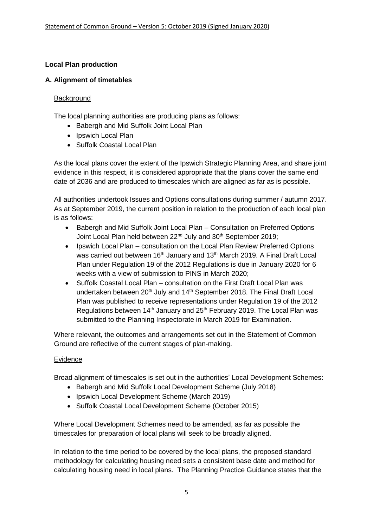# **Local Plan production**

# **A. Alignment of timetables**

### **Background**

The local planning authorities are producing plans as follows:

- Babergh and Mid Suffolk Joint Local Plan
- Ipswich Local Plan
- Suffolk Coastal Local Plan

As the local plans cover the extent of the Ipswich Strategic Planning Area, and share joint evidence in this respect, it is considered appropriate that the plans cover the same end date of 2036 and are produced to timescales which are aligned as far as is possible.

All authorities undertook Issues and Options consultations during summer / autumn 2017. As at September 2019, the current position in relation to the production of each local plan is as follows:

- Babergh and Mid Suffolk Joint Local Plan Consultation on Preferred Options Joint Local Plan held between 22<sup>nd</sup> July and 30<sup>th</sup> September 2019;
- Ipswich Local Plan consultation on the Local Plan Review Preferred Options was carried out between 16<sup>th</sup> January and 13<sup>th</sup> March 2019. A Final Draft Local Plan under Regulation 19 of the 2012 Regulations is due in January 2020 for 6 weeks with a view of submission to PINS in March 2020;
- Suffolk Coastal Local Plan consultation on the First Draft Local Plan was undertaken between 20<sup>th</sup> July and 14<sup>th</sup> September 2018. The Final Draft Local Plan was published to receive representations under Regulation 19 of the 2012 Regulations between 14<sup>th</sup> January and 25<sup>th</sup> February 2019. The Local Plan was submitted to the Planning Inspectorate in March 2019 for Examination.

Where relevant, the outcomes and arrangements set out in the Statement of Common Ground are reflective of the current stages of plan-making.

# Evidence

Broad alignment of timescales is set out in the authorities' Local Development Schemes:

- Babergh and Mid Suffolk Local Development Scheme (July 2018)
- Ipswich Local Development Scheme (March 2019)
- Suffolk Coastal Local Development Scheme (October 2015)

Where Local Development Schemes need to be amended, as far as possible the timescales for preparation of local plans will seek to be broadly aligned.

In relation to the time period to be covered by the local plans, the proposed standard methodology for calculating housing need sets a consistent base date and method for calculating housing need in local plans. The Planning Practice Guidance states that the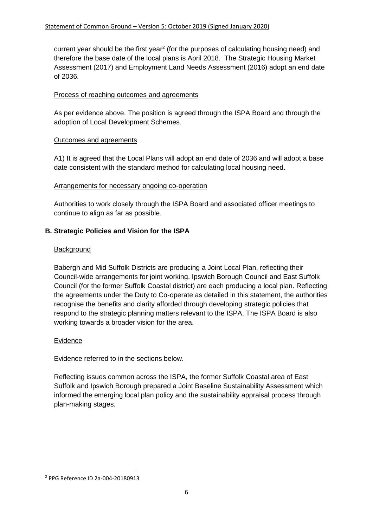current year should be the first year<sup>2</sup> (for the purposes of calculating housing need) and therefore the base date of the local plans is April 2018. The Strategic Housing Market Assessment (2017) and Employment Land Needs Assessment (2016) adopt an end date of 2036.

### Process of reaching outcomes and agreements

As per evidence above. The position is agreed through the ISPA Board and through the adoption of Local Development Schemes.

### Outcomes and agreements

A1) It is agreed that the Local Plans will adopt an end date of 2036 and will adopt a base date consistent with the standard method for calculating local housing need.

#### Arrangements for necessary ongoing co-operation

Authorities to work closely through the ISPA Board and associated officer meetings to continue to align as far as possible.

# **B. Strategic Policies and Vision for the ISPA**

#### **Background**

Babergh and Mid Suffolk Districts are producing a Joint Local Plan, reflecting their Council-wide arrangements for joint working. Ipswich Borough Council and East Suffolk Council (for the former Suffolk Coastal district) are each producing a local plan. Reflecting the agreements under the Duty to Co-operate as detailed in this statement, the authorities recognise the benefits and clarity afforded through developing strategic policies that respond to the strategic planning matters relevant to the ISPA. The ISPA Board is also working towards a broader vision for the area.

#### Evidence

Evidence referred to in the sections below.

Reflecting issues common across the ISPA, the former Suffolk Coastal area of East Suffolk and Ipswich Borough prepared a Joint Baseline Sustainability Assessment which informed the emerging local plan policy and the sustainability appraisal process through plan-making stages.

**.** 

<sup>2</sup> PPG Reference ID 2a-004-20180913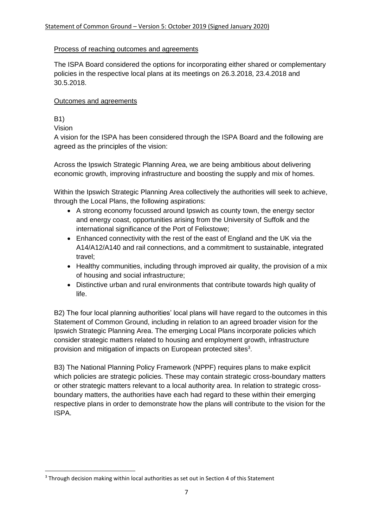# Process of reaching outcomes and agreements

The ISPA Board considered the options for incorporating either shared or complementary policies in the respective local plans at its meetings on 26.3.2018, 23.4.2018 and 30.5.2018.

### Outcomes and agreements

# B1)

**.** 

Vision

A vision for the ISPA has been considered through the ISPA Board and the following are agreed as the principles of the vision:

Across the Ipswich Strategic Planning Area, we are being ambitious about delivering economic growth, improving infrastructure and boosting the supply and mix of homes.

Within the Ipswich Strategic Planning Area collectively the authorities will seek to achieve, through the Local Plans, the following aspirations:

- A strong economy focussed around Ipswich as county town, the energy sector and energy coast, opportunities arising from the University of Suffolk and the international significance of the Port of Felixstowe;
- Enhanced connectivity with the rest of the east of England and the UK via the A14/A12/A140 and rail connections, and a commitment to sustainable, integrated travel;
- Healthy communities, including through improved air quality, the provision of a mix of housing and social infrastructure;
- Distinctive urban and rural environments that contribute towards high quality of life.

B2) The four local planning authorities' local plans will have regard to the outcomes in this Statement of Common Ground, including in relation to an agreed broader vision for the Ipswich Strategic Planning Area. The emerging Local Plans incorporate policies which consider strategic matters related to housing and employment growth, infrastructure provision and mitigation of impacts on European protected sites<sup>3</sup>.

B3) The National Planning Policy Framework (NPPF) requires plans to make explicit which policies are strategic policies. These may contain strategic cross-boundary matters or other strategic matters relevant to a local authority area. In relation to strategic crossboundary matters, the authorities have each had regard to these within their emerging respective plans in order to demonstrate how the plans will contribute to the vision for the ISPA.

<sup>&</sup>lt;sup>3</sup> Through decision making within local authorities as set out in Section 4 of this Statement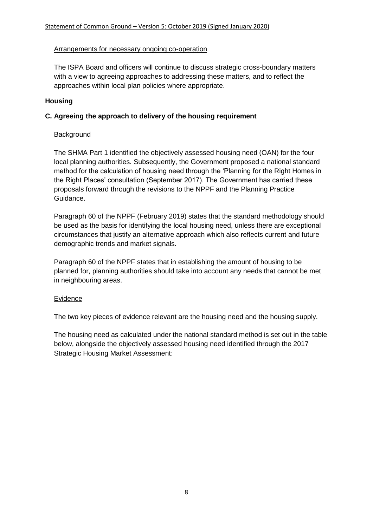### Arrangements for necessary ongoing co-operation

The ISPA Board and officers will continue to discuss strategic cross-boundary matters with a view to agreeing approaches to addressing these matters, and to reflect the approaches within local plan policies where appropriate.

# **Housing**

### **C. Agreeing the approach to delivery of the housing requirement**

### **Background**

The SHMA Part 1 identified the objectively assessed housing need (OAN) for the four local planning authorities. Subsequently, the Government proposed a national standard method for the calculation of housing need through the 'Planning for the Right Homes in the Right Places' consultation (September 2017). The Government has carried these proposals forward through the revisions to the NPPF and the Planning Practice Guidance.

Paragraph 60 of the NPPF (February 2019) states that the standard methodology should be used as the basis for identifying the local housing need, unless there are exceptional circumstances that justify an alternative approach which also reflects current and future demographic trends and market signals.

Paragraph 60 of the NPPF states that in establishing the amount of housing to be planned for, planning authorities should take into account any needs that cannot be met in neighbouring areas.

#### Evidence

The two key pieces of evidence relevant are the housing need and the housing supply.

The housing need as calculated under the national standard method is set out in the table below, alongside the objectively assessed housing need identified through the 2017 Strategic Housing Market Assessment: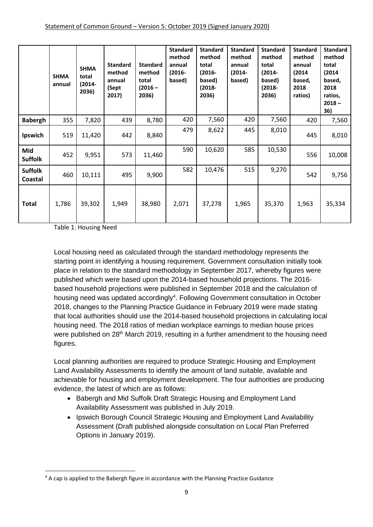|                           | <b>SHMA</b><br>annual | <b>SHMA</b><br>total<br>$(2014 -$<br>2036) | <b>Standard</b><br>method<br>annual<br>(Sept<br>2017) | <b>Standard</b><br>method<br>total<br>$(2016 -$<br>2036) | <b>Standard</b><br>method<br>annual<br>$(2016 -$<br>based) | <b>Standard</b><br>method<br>total<br>$(2016 -$<br>based)<br>$(2018 -$<br>2036) | <b>Standard</b><br>method<br>annual<br>$(2014 -$<br>based) | <b>Standard</b><br>method<br>total<br>$(2014 -$<br>based)<br>$(2018 -$<br>2036) | <b>Standard</b><br>method<br>annual<br>(2014)<br>based,<br>2018<br>ratios) | <b>Standard</b><br>method<br>total<br>(2014)<br>based,<br>2018<br>ratios,<br>$2018 -$<br>36) |
|---------------------------|-----------------------|--------------------------------------------|-------------------------------------------------------|----------------------------------------------------------|------------------------------------------------------------|---------------------------------------------------------------------------------|------------------------------------------------------------|---------------------------------------------------------------------------------|----------------------------------------------------------------------------|----------------------------------------------------------------------------------------------|
| <b>Babergh</b>            | 355                   | 7,820                                      | 439                                                   | 8,780                                                    | 420                                                        | 7,560                                                                           | 420                                                        | 7,560                                                                           | 420                                                                        | 7,560                                                                                        |
| Ipswich                   | 519                   | 11,420                                     | 442                                                   | 8,840                                                    | 479                                                        | 8,622                                                                           | 445                                                        | 8,010                                                                           | 445                                                                        | 8,010                                                                                        |
| Mid<br><b>Suffolk</b>     | 452                   | 9,951                                      | 573                                                   | 11,460                                                   | 590                                                        | 10,620                                                                          | 585                                                        | 10,530                                                                          | 556                                                                        | 10,008                                                                                       |
| <b>Suffolk</b><br>Coastal | 460                   | 10,111                                     | 495                                                   | 9,900                                                    | 582                                                        | 10,476                                                                          | 515                                                        | 9,270                                                                           | 542                                                                        | 9,756                                                                                        |
| Total                     | 1,786                 | 39,302                                     | 1,949                                                 | 38,980                                                   | 2,071                                                      | 37,278                                                                          | 1,965                                                      | 35,370                                                                          | 1,963                                                                      | 35,334                                                                                       |

Table 1: Housing Need

**.** 

Local housing need as calculated through the standard methodology represents the starting point in identifying a housing requirement. Government consultation initially took place in relation to the standard methodology in September 2017, whereby figures were published which were based upon the 2014-based household projections. The 2016 based household projections were published in September 2018 and the calculation of housing need was updated accordingly<sup>4</sup>. Following Government consultation in October 2018, changes to the Planning Practice Guidance in February 2019 were made stating that local authorities should use the 2014-based household projections in calculating local housing need. The 2018 ratios of median workplace earnings to median house prices were published on 28<sup>th</sup> March 2019, resulting in a further amendment to the housing need figures.

Local planning authorities are required to produce Strategic Housing and Employment Land Availability Assessments to identify the amount of land suitable, available and achievable for housing and employment development. The four authorities are producing evidence, the latest of which are as follows:

- Babergh and Mid Suffolk Draft Strategic Housing and Employment Land Availability Assessment was published in July 2019.
- Ipswich Borough Council Strategic Housing and Employment Land Availability Assessment (Draft published alongside consultation on Local Plan Preferred Options in January 2019).

<sup>&</sup>lt;sup>4</sup> A cap is applied to the Babergh figure in accordance with the Planning Practice Guidance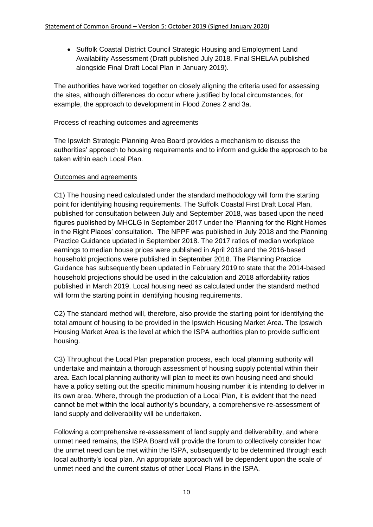• Suffolk Coastal District Council Strategic Housing and Employment Land Availability Assessment (Draft published July 2018. Final SHELAA published alongside Final Draft Local Plan in January 2019).

The authorities have worked together on closely aligning the criteria used for assessing the sites, although differences do occur where justified by local circumstances, for example, the approach to development in Flood Zones 2 and 3a.

# Process of reaching outcomes and agreements

The Ipswich Strategic Planning Area Board provides a mechanism to discuss the authorities' approach to housing requirements and to inform and guide the approach to be taken within each Local Plan.

# Outcomes and agreements

C1) The housing need calculated under the standard methodology will form the starting point for identifying housing requirements. The Suffolk Coastal First Draft Local Plan, published for consultation between July and September 2018, was based upon the need figures published by MHCLG in September 2017 under the 'Planning for the Right Homes in the Right Places' consultation. The NPPF was published in July 2018 and the Planning Practice Guidance updated in September 2018. The 2017 ratios of median workplace earnings to median house prices were published in April 2018 and the 2016-based household projections were published in September 2018. The Planning Practice Guidance has subsequently been updated in February 2019 to state that the 2014-based household projections should be used in the calculation and 2018 affordability ratios published in March 2019. Local housing need as calculated under the standard method will form the starting point in identifying housing requirements.

C2) The standard method will, therefore, also provide the starting point for identifying the total amount of housing to be provided in the Ipswich Housing Market Area. The Ipswich Housing Market Area is the level at which the ISPA authorities plan to provide sufficient housing.

C3) Throughout the Local Plan preparation process, each local planning authority will undertake and maintain a thorough assessment of housing supply potential within their area. Each local planning authority will plan to meet its own housing need and should have a policy setting out the specific minimum housing number it is intending to deliver in its own area. Where, through the production of a Local Plan, it is evident that the need cannot be met within the local authority's boundary, a comprehensive re-assessment of land supply and deliverability will be undertaken.

Following a comprehensive re-assessment of land supply and deliverability, and where unmet need remains, the ISPA Board will provide the forum to collectively consider how the unmet need can be met within the ISPA, subsequently to be determined through each local authority's local plan. An appropriate approach will be dependent upon the scale of unmet need and the current status of other Local Plans in the ISPA.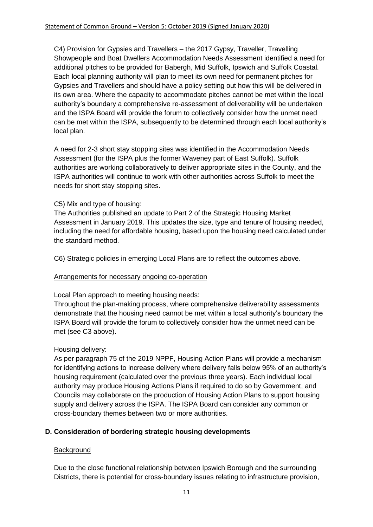C4) Provision for Gypsies and Travellers – the 2017 Gypsy, Traveller, Travelling Showpeople and Boat Dwellers Accommodation Needs Assessment identified a need for additional pitches to be provided for Babergh, Mid Suffolk, Ipswich and Suffolk Coastal. Each local planning authority will plan to meet its own need for permanent pitches for Gypsies and Travellers and should have a policy setting out how this will be delivered in its own area. Where the capacity to accommodate pitches cannot be met within the local authority's boundary a comprehensive re-assessment of deliverability will be undertaken and the ISPA Board will provide the forum to collectively consider how the unmet need can be met within the ISPA, subsequently to be determined through each local authority's local plan.

A need for 2-3 short stay stopping sites was identified in the Accommodation Needs Assessment (for the ISPA plus the former Waveney part of East Suffolk). Suffolk authorities are working collaboratively to deliver appropriate sites in the County, and the ISPA authorities will continue to work with other authorities across Suffolk to meet the needs for short stay stopping sites.

# C5) Mix and type of housing:

The Authorities published an update to Part 2 of the Strategic Housing Market Assessment in January 2019. This updates the size, type and tenure of housing needed, including the need for affordable housing, based upon the housing need calculated under the standard method.

C6) Strategic policies in emerging Local Plans are to reflect the outcomes above.

# Arrangements for necessary ongoing co-operation

Local Plan approach to meeting housing needs:

Throughout the plan-making process, where comprehensive deliverability assessments demonstrate that the housing need cannot be met within a local authority's boundary the ISPA Board will provide the forum to collectively consider how the unmet need can be met (see C3 above).

#### Housing delivery:

As per paragraph 75 of the 2019 NPPF, Housing Action Plans will provide a mechanism for identifying actions to increase delivery where delivery falls below 95% of an authority's housing requirement (calculated over the previous three years). Each individual local authority may produce Housing Actions Plans if required to do so by Government, and Councils may collaborate on the production of Housing Action Plans to support housing supply and delivery across the ISPA. The ISPA Board can consider any common or cross-boundary themes between two or more authorities.

# **D. Consideration of bordering strategic housing developments**

#### **Background**

Due to the close functional relationship between Ipswich Borough and the surrounding Districts, there is potential for cross-boundary issues relating to infrastructure provision,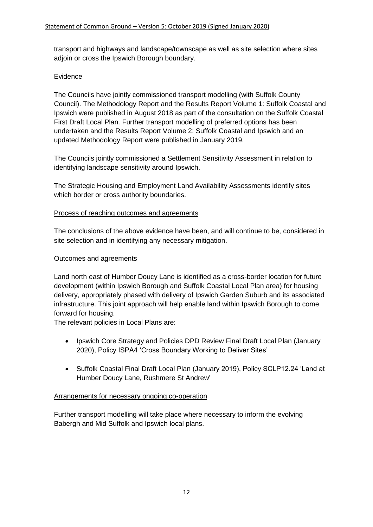transport and highways and landscape/townscape as well as site selection where sites adjoin or cross the Ipswich Borough boundary.

# Evidence

The Councils have jointly commissioned transport modelling (with Suffolk County Council). The Methodology Report and the Results Report Volume 1: Suffolk Coastal and Ipswich were published in August 2018 as part of the consultation on the Suffolk Coastal First Draft Local Plan. Further transport modelling of preferred options has been undertaken and the Results Report Volume 2: Suffolk Coastal and Ipswich and an updated Methodology Report were published in January 2019.

The Councils jointly commissioned a Settlement Sensitivity Assessment in relation to identifying landscape sensitivity around Ipswich.

The Strategic Housing and Employment Land Availability Assessments identify sites which border or cross authority boundaries.

### Process of reaching outcomes and agreements

The conclusions of the above evidence have been, and will continue to be, considered in site selection and in identifying any necessary mitigation.

### Outcomes and agreements

Land north east of Humber Doucy Lane is identified as a cross-border location for future development (within Ipswich Borough and Suffolk Coastal Local Plan area) for housing delivery, appropriately phased with delivery of Ipswich Garden Suburb and its associated infrastructure. This joint approach will help enable land within Ipswich Borough to come forward for housing.

The relevant policies in Local Plans are:

- Ipswich Core Strategy and Policies DPD Review Final Draft Local Plan (January 2020), Policy ISPA4 'Cross Boundary Working to Deliver Sites'
- Suffolk Coastal Final Draft Local Plan (January 2019), Policy SCLP12.24 'Land at Humber Doucy Lane, Rushmere St Andrew'

#### Arrangements for necessary ongoing co-operation

Further transport modelling will take place where necessary to inform the evolving Babergh and Mid Suffolk and Ipswich local plans.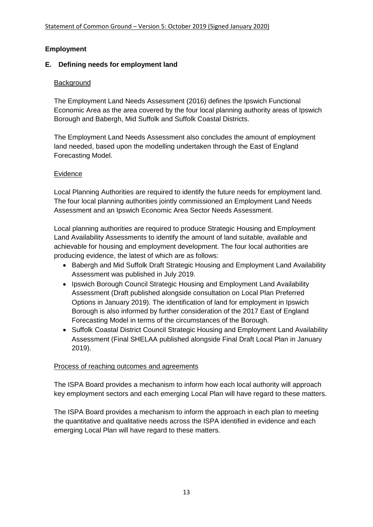# **Employment**

# **E. Defining needs for employment land**

# **Background**

The Employment Land Needs Assessment (2016) defines the Ipswich Functional Economic Area as the area covered by the four local planning authority areas of Ipswich Borough and Babergh, Mid Suffolk and Suffolk Coastal Districts.

The Employment Land Needs Assessment also concludes the amount of employment land needed, based upon the modelling undertaken through the East of England Forecasting Model.

# Evidence

Local Planning Authorities are required to identify the future needs for employment land. The four local planning authorities jointly commissioned an Employment Land Needs Assessment and an Ipswich Economic Area Sector Needs Assessment.

Local planning authorities are required to produce Strategic Housing and Employment Land Availability Assessments to identify the amount of land suitable, available and achievable for housing and employment development. The four local authorities are producing evidence, the latest of which are as follows:

- Babergh and Mid Suffolk Draft Strategic Housing and Employment Land Availability Assessment was published in July 2019.
- Ipswich Borough Council Strategic Housing and Employment Land Availability Assessment (Draft published alongside consultation on Local Plan Preferred Options in January 2019). The identification of land for employment in Ipswich Borough is also informed by further consideration of the 2017 East of England Forecasting Model in terms of the circumstances of the Borough.
- Suffolk Coastal District Council Strategic Housing and Employment Land Availability Assessment (Final SHELAA published alongside Final Draft Local Plan in January 2019).

# Process of reaching outcomes and agreements

The ISPA Board provides a mechanism to inform how each local authority will approach key employment sectors and each emerging Local Plan will have regard to these matters.

The ISPA Board provides a mechanism to inform the approach in each plan to meeting the quantitative and qualitative needs across the ISPA identified in evidence and each emerging Local Plan will have regard to these matters.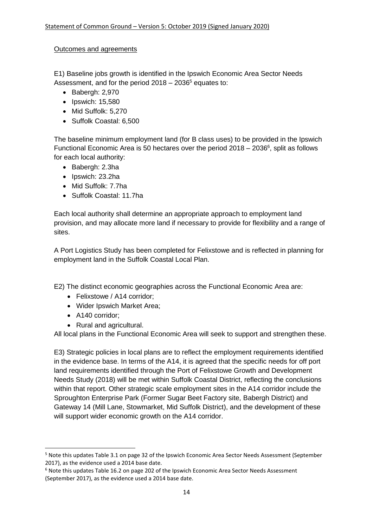# Outcomes and agreements

E1) Baseline jobs growth is identified in the Ipswich Economic Area Sector Needs Assessment, and for the period  $2018 - 2036<sup>5</sup>$  equates to:

- Babergh: 2,970
- Ipswich: 15,580
- Mid Suffolk: 5,270
- Suffolk Coastal: 6,500

The baseline minimum employment land (for B class uses) to be provided in the Ipswich Functional Economic Area is 50 hectares over the period  $2018 - 2036^6$ , split as follows for each local authority:

- Babergh: 2.3ha
- Ipswich: 23.2ha
- Mid Suffolk: 7.7ha
- Suffolk Coastal: 11.7ha

Each local authority shall determine an appropriate approach to employment land provision, and may allocate more land if necessary to provide for flexibility and a range of sites.

A Port Logistics Study has been completed for Felixstowe and is reflected in planning for employment land in the Suffolk Coastal Local Plan.

E2) The distinct economic geographies across the Functional Economic Area are:

- Felixstowe / A14 corridor;
- Wider Ipswich Market Area;
- A140 corridor:

1

• Rural and agricultural.

All local plans in the Functional Economic Area will seek to support and strengthen these.

E3) Strategic policies in local plans are to reflect the employment requirements identified in the evidence base. In terms of the A14, it is agreed that the specific needs for off port land requirements identified through the Port of Felixstowe Growth and Development Needs Study (2018) will be met within Suffolk Coastal District, reflecting the conclusions within that report. Other strategic scale employment sites in the A14 corridor include the Sproughton Enterprise Park (Former Sugar Beet Factory site, Babergh District) and Gateway 14 (Mill Lane, Stowmarket, Mid Suffolk District), and the development of these will support wider economic growth on the A14 corridor.

<sup>5</sup> Note this updates Table 3.1 on page 32 of the Ipswich Economic Area Sector Needs Assessment (September 2017), as the evidence used a 2014 base date.

<sup>6</sup> Note this updates Table 16.2 on page 202 of the Ipswich Economic Area Sector Needs Assessment (September 2017), as the evidence used a 2014 base date.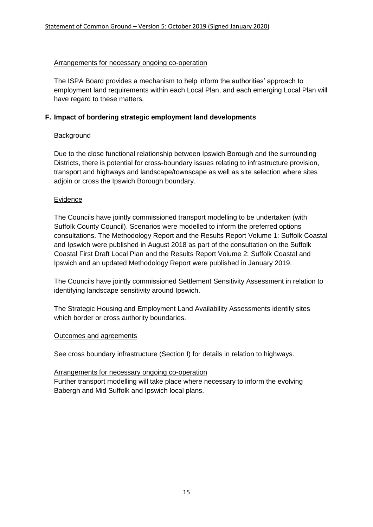### Arrangements for necessary ongoing co-operation

The ISPA Board provides a mechanism to help inform the authorities' approach to employment land requirements within each Local Plan, and each emerging Local Plan will have regard to these matters.

### **F. Impact of bordering strategic employment land developments**

### Background

Due to the close functional relationship between Ipswich Borough and the surrounding Districts, there is potential for cross-boundary issues relating to infrastructure provision, transport and highways and landscape/townscape as well as site selection where sites adjoin or cross the Ipswich Borough boundary.

### Evidence

The Councils have jointly commissioned transport modelling to be undertaken (with Suffolk County Council). Scenarios were modelled to inform the preferred options consultations. The Methodology Report and the Results Report Volume 1: Suffolk Coastal and Ipswich were published in August 2018 as part of the consultation on the Suffolk Coastal First Draft Local Plan and the Results Report Volume 2: Suffolk Coastal and Ipswich and an updated Methodology Report were published in January 2019.

The Councils have jointly commissioned Settlement Sensitivity Assessment in relation to identifying landscape sensitivity around Ipswich.

The Strategic Housing and Employment Land Availability Assessments identify sites which border or cross authority boundaries.

#### Outcomes and agreements

See cross boundary infrastructure (Section I) for details in relation to highways.

#### Arrangements for necessary ongoing co-operation

Further transport modelling will take place where necessary to inform the evolving Babergh and Mid Suffolk and Ipswich local plans.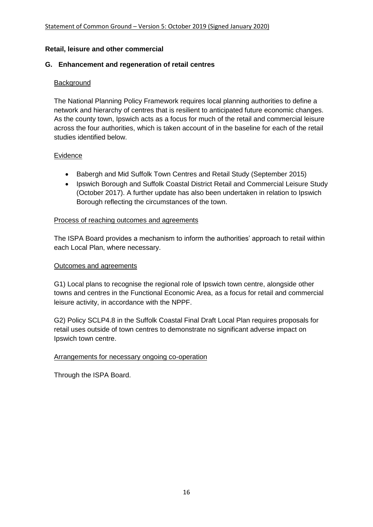#### **Retail, leisure and other commercial**

### **G. Enhancement and regeneration of retail centres**

### **Background**

The National Planning Policy Framework requires local planning authorities to define a network and hierarchy of centres that is resilient to anticipated future economic changes. As the county town, Ipswich acts as a focus for much of the retail and commercial leisure across the four authorities, which is taken account of in the baseline for each of the retail studies identified below.

#### Evidence

- Babergh and Mid Suffolk Town Centres and Retail Study (September 2015)
- Ipswich Borough and Suffolk Coastal District Retail and Commercial Leisure Study (October 2017). A further update has also been undertaken in relation to Ipswich Borough reflecting the circumstances of the town.

#### Process of reaching outcomes and agreements

The ISPA Board provides a mechanism to inform the authorities' approach to retail within each Local Plan, where necessary.

### Outcomes and agreements

G1) Local plans to recognise the regional role of Ipswich town centre, alongside other towns and centres in the Functional Economic Area, as a focus for retail and commercial leisure activity, in accordance with the NPPF.

G2) Policy SCLP4.8 in the Suffolk Coastal Final Draft Local Plan requires proposals for retail uses outside of town centres to demonstrate no significant adverse impact on Ipswich town centre.

# Arrangements for necessary ongoing co-operation

Through the ISPA Board.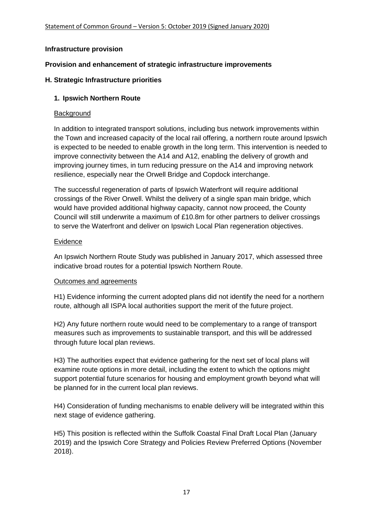### **Infrastructure provision**

### **Provision and enhancement of strategic infrastructure improvements**

### **H. Strategic Infrastructure priorities**

### **1. Ipswich Northern Route**

### Background

In addition to integrated transport solutions, including bus network improvements within the Town and increased capacity of the local rail offering, a northern route around Ipswich is expected to be needed to enable growth in the long term. This intervention is needed to improve connectivity between the A14 and A12, enabling the delivery of growth and improving journey times, in turn reducing pressure on the A14 and improving network resilience, especially near the Orwell Bridge and Copdock interchange.

The successful regeneration of parts of Ipswich Waterfront will require additional crossings of the River Orwell. Whilst the delivery of a single span main bridge, which would have provided additional highway capacity, cannot now proceed, the County Council will still underwrite a maximum of £10.8m for other partners to deliver crossings to serve the Waterfront and deliver on Ipswich Local Plan regeneration objectives.

### **Evidence**

An Ipswich Northern Route Study was published in January 2017, which assessed three indicative broad routes for a potential Ipswich Northern Route.

#### Outcomes and agreements

H1) Evidence informing the current adopted plans did not identify the need for a northern route, although all ISPA local authorities support the merit of the future project.

H2) Any future northern route would need to be complementary to a range of transport measures such as improvements to sustainable transport, and this will be addressed through future local plan reviews.

H3) The authorities expect that evidence gathering for the next set of local plans will examine route options in more detail, including the extent to which the options might support potential future scenarios for housing and employment growth beyond what will be planned for in the current local plan reviews.

H4) Consideration of funding mechanisms to enable delivery will be integrated within this next stage of evidence gathering.

H5) This position is reflected within the Suffolk Coastal Final Draft Local Plan (January 2019) and the Ipswich Core Strategy and Policies Review Preferred Options (November 2018).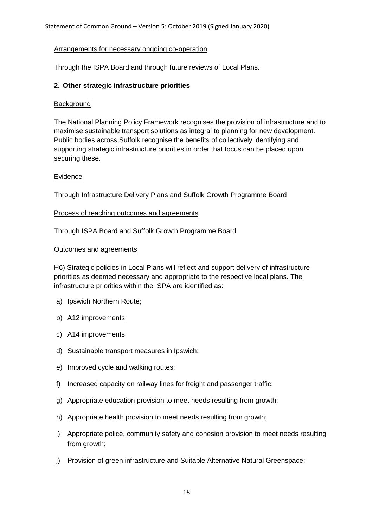### Arrangements for necessary ongoing co-operation

Through the ISPA Board and through future reviews of Local Plans.

### **2. Other strategic infrastructure priorities**

### **Background**

The National Planning Policy Framework recognises the provision of infrastructure and to maximise sustainable transport solutions as integral to planning for new development. Public bodies across Suffolk recognise the benefits of collectively identifying and supporting strategic infrastructure priorities in order that focus can be placed upon securing these.

### Evidence

Through Infrastructure Delivery Plans and Suffolk Growth Programme Board

#### Process of reaching outcomes and agreements

Through ISPA Board and Suffolk Growth Programme Board

#### Outcomes and agreements

H6) Strategic policies in Local Plans will reflect and support delivery of infrastructure priorities as deemed necessary and appropriate to the respective local plans. The infrastructure priorities within the ISPA are identified as:

- a) Ipswich Northern Route;
- b) A12 improvements;
- c) A14 improvements;
- d) Sustainable transport measures in Ipswich;
- e) Improved cycle and walking routes;
- f) Increased capacity on railway lines for freight and passenger traffic;
- g) Appropriate education provision to meet needs resulting from growth;
- h) Appropriate health provision to meet needs resulting from growth;
- i) Appropriate police, community safety and cohesion provision to meet needs resulting from growth;
- j) Provision of green infrastructure and Suitable Alternative Natural Greenspace;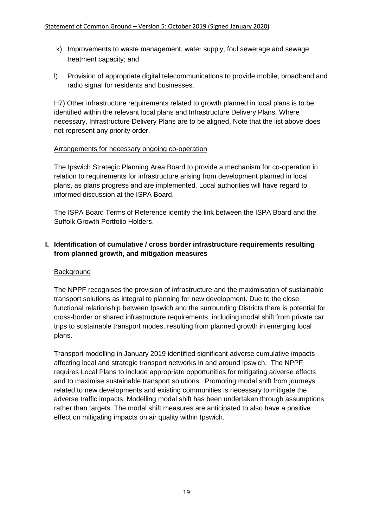- k) Improvements to waste management, water supply, foul sewerage and sewage treatment capacity; and
- l) Provision of appropriate digital telecommunications to provide mobile, broadband and radio signal for residents and businesses.

H7) Other infrastructure requirements related to growth planned in local plans is to be identified within the relevant local plans and Infrastructure Delivery Plans. Where necessary, Infrastructure Delivery Plans are to be aligned. Note that the list above does not represent any priority order.

#### Arrangements for necessary ongoing co-operation

The Ipswich Strategic Planning Area Board to provide a mechanism for co-operation in relation to requirements for infrastructure arising from development planned in local plans, as plans progress and are implemented. Local authorities will have regard to informed discussion at the ISPA Board.

The ISPA Board Terms of Reference identify the link between the ISPA Board and the Suffolk Growth Portfolio Holders.

# **I. Identification of cumulative / cross border infrastructure requirements resulting from planned growth, and mitigation measures**

#### **Background**

The NPPF recognises the provision of infrastructure and the maximisation of sustainable transport solutions as integral to planning for new development. Due to the close functional relationship between Ipswich and the surrounding Districts there is potential for cross-border or shared infrastructure requirements, including modal shift from private car trips to sustainable transport modes, resulting from planned growth in emerging local plans.

Transport modelling in January 2019 identified significant adverse cumulative impacts affecting local and strategic transport networks in and around Ipswich. The NPPF requires Local Plans to include appropriate opportunities for mitigating adverse effects and to maximise sustainable transport solutions. Promoting modal shift from journeys related to new developments and existing communities is necessary to mitigate the adverse traffic impacts. Modelling modal shift has been undertaken through assumptions rather than targets. The modal shift measures are anticipated to also have a positive effect on mitigating impacts on air quality within Ipswich.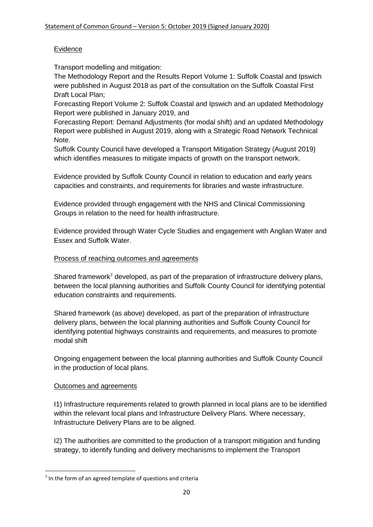# **Evidence**

Transport modelling and mitigation:

The Methodology Report and the Results Report Volume 1: Suffolk Coastal and Ipswich were published in August 2018 as part of the consultation on the Suffolk Coastal First Draft Local Plan;

Forecasting Report Volume 2: Suffolk Coastal and Ipswich and an updated Methodology Report were published in January 2019, and

Forecasting Report: Demand Adjustments (for modal shift) and an updated Methodology Report were published in August 2019, along with a Strategic Road Network Technical Note.

Suffolk County Council have developed a Transport Mitigation Strategy (August 2019) which identifies measures to mitigate impacts of growth on the transport network.

Evidence provided by Suffolk County Council in relation to education and early years capacities and constraints, and requirements for libraries and waste infrastructure.

Evidence provided through engagement with the NHS and Clinical Commissioning Groups in relation to the need for health infrastructure.

Evidence provided through Water Cycle Studies and engagement with Anglian Water and Essex and Suffolk Water.

# Process of reaching outcomes and agreements

Shared framework<sup>7</sup> developed, as part of the preparation of infrastructure delivery plans, between the local planning authorities and Suffolk County Council for identifying potential education constraints and requirements.

Shared framework (as above) developed, as part of the preparation of infrastructure delivery plans, between the local planning authorities and Suffolk County Council for identifying potential highways constraints and requirements, and measures to promote modal shift

Ongoing engagement between the local planning authorities and Suffolk County Council in the production of local plans.

# Outcomes and agreements

**.** 

I1) Infrastructure requirements related to growth planned in local plans are to be identified within the relevant local plans and Infrastructure Delivery Plans. Where necessary, Infrastructure Delivery Plans are to be aligned.

I2) The authorities are committed to the production of a transport mitigation and funding strategy, to identify funding and delivery mechanisms to implement the Transport

<sup>&</sup>lt;sup>7</sup> In the form of an agreed template of questions and criteria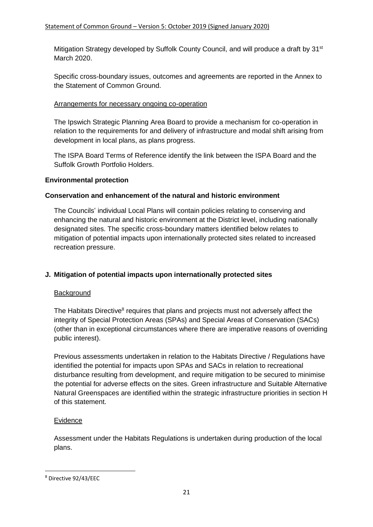Mitigation Strategy developed by Suffolk County Council, and will produce a draft by 31<sup>st</sup> March 2020.

Specific cross-boundary issues, outcomes and agreements are reported in the Annex to the Statement of Common Ground.

# Arrangements for necessary ongoing co-operation

The Ipswich Strategic Planning Area Board to provide a mechanism for co-operation in relation to the requirements for and delivery of infrastructure and modal shift arising from development in local plans, as plans progress.

The ISPA Board Terms of Reference identify the link between the ISPA Board and the Suffolk Growth Portfolio Holders.

# **Environmental protection**

# **Conservation and enhancement of the natural and historic environment**

The Councils' individual Local Plans will contain policies relating to conserving and enhancing the natural and historic environment at the District level, including nationally designated sites. The specific cross-boundary matters identified below relates to mitigation of potential impacts upon internationally protected sites related to increased recreation pressure.

# **J. Mitigation of potential impacts upon internationally protected sites**

# **Background**

The Habitats Directive<sup>8</sup> requires that plans and projects must not adversely affect the integrity of Special Protection Areas (SPAs) and Special Areas of Conservation (SACs) (other than in exceptional circumstances where there are imperative reasons of overriding public interest).

Previous assessments undertaken in relation to the Habitats Directive / Regulations have identified the potential for impacts upon SPAs and SACs in relation to recreational disturbance resulting from development, and require mitigation to be secured to minimise the potential for adverse effects on the sites. Green infrastructure and Suitable Alternative Natural Greenspaces are identified within the strategic infrastructure priorities in section H of this statement.

# **Evidence**

Assessment under the Habitats Regulations is undertaken during production of the local plans.

**.** 

<sup>8</sup> Directive 92/43/EEC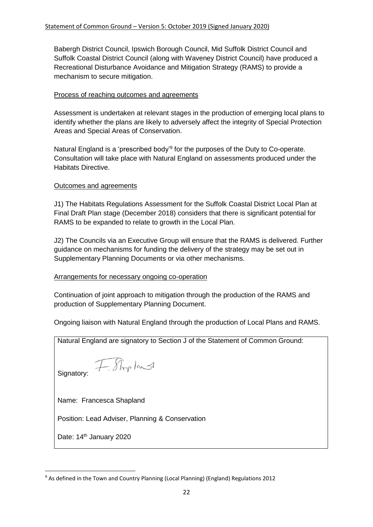Babergh District Council, Ipswich Borough Council, Mid Suffolk District Council and Suffolk Coastal District Council (along with Waveney District Council) have produced a Recreational Disturbance Avoidance and Mitigation Strategy (RAMS) to provide a mechanism to secure mitigation.

### Process of reaching outcomes and agreements

Assessment is undertaken at relevant stages in the production of emerging local plans to identify whether the plans are likely to adversely affect the integrity of Special Protection Areas and Special Areas of Conservation.

Natural England is a 'prescribed body'<sup>9</sup> for the purposes of the Duty to Co-operate. Consultation will take place with Natural England on assessments produced under the Habitats Directive.

### Outcomes and agreements

**.** 

J1) The Habitats Regulations Assessment for the Suffolk Coastal District Local Plan at Final Draft Plan stage (December 2018) considers that there is significant potential for RAMS to be expanded to relate to growth in the Local Plan.

J2) The Councils via an Executive Group will ensure that the RAMS is delivered. Further guidance on mechanisms for funding the delivery of the strategy may be set out in Supplementary Planning Documents or via other mechanisms.

# Arrangements for necessary ongoing co-operation

Continuation of joint approach to mitigation through the production of the RAMS and production of Supplementary Planning Document.

Ongoing liaison with Natural England through the production of Local Plans and RAMS.

Natural England are signatory to Section J of the Statement of Common Ground: F. Shopland Signatory: Name: Francesca Shapland Position: Lead Adviser, Planning & Conservation Date: 14<sup>th</sup> January 2020

<sup>&</sup>lt;sup>9</sup> As defined in the Town and Country Planning (Local Planning) (England) Regulations 2012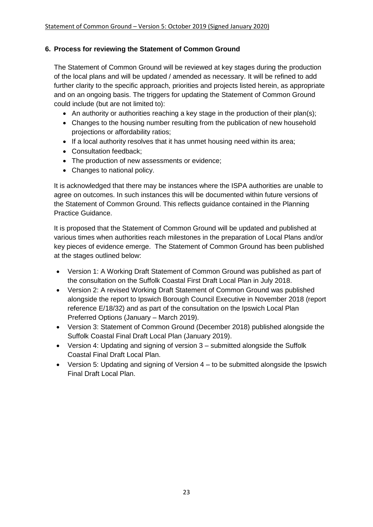# **6. Process for reviewing the Statement of Common Ground**

The Statement of Common Ground will be reviewed at key stages during the production of the local plans and will be updated / amended as necessary. It will be refined to add further clarity to the specific approach, priorities and projects listed herein, as appropriate and on an ongoing basis. The triggers for updating the Statement of Common Ground could include (but are not limited to):

- An authority or authorities reaching a key stage in the production of their plan(s);
- Changes to the housing number resulting from the publication of new household projections or affordability ratios;
- If a local authority resolves that it has unmet housing need within its area;
- Consultation feedback:
- The production of new assessments or evidence;
- Changes to national policy.

It is acknowledged that there may be instances where the ISPA authorities are unable to agree on outcomes. In such instances this will be documented within future versions of the Statement of Common Ground. This reflects guidance contained in the Planning Practice Guidance.

It is proposed that the Statement of Common Ground will be updated and published at various times when authorities reach milestones in the preparation of Local Plans and/or key pieces of evidence emerge. The Statement of Common Ground has been published at the stages outlined below:

- Version 1: A Working Draft Statement of Common Ground was published as part of the consultation on the Suffolk Coastal First Draft Local Plan in July 2018.
- Version 2: A revised Working Draft Statement of Common Ground was published alongside the report to Ipswich Borough Council Executive in November 2018 (report reference E/18/32) and as part of the consultation on the Ipswich Local Plan Preferred Options (January – March 2019).
- Version 3: Statement of Common Ground (December 2018) published alongside the Suffolk Coastal Final Draft Local Plan (January 2019).
- Version 4: Updating and signing of version 3 submitted alongside the Suffolk Coastal Final Draft Local Plan.
- Version 5: Updating and signing of Version 4 to be submitted alongside the Ipswich Final Draft Local Plan.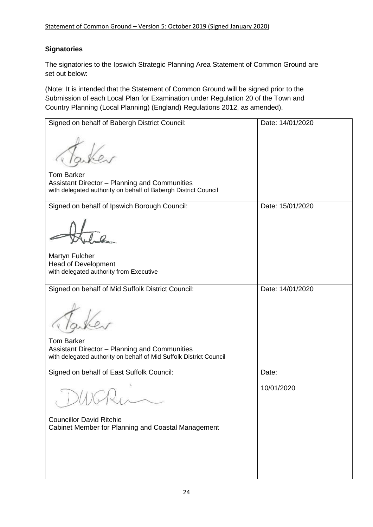# **Signatories**

The signatories to the Ipswich Strategic Planning Area Statement of Common Ground are set out below:

(Note: It is intended that the Statement of Common Ground will be signed prior to the Submission of each Local Plan for Examination under Regulation 20 of the Town and Country Planning (Local Planning) (England) Regulations 2012, as amended).

| Signed on behalf of Babergh District Council:                                                                   | Date: 14/01/2020 |
|-----------------------------------------------------------------------------------------------------------------|------------------|
|                                                                                                                 |                  |
| <b>Tom Barker</b>                                                                                               |                  |
| Assistant Director - Planning and Communities<br>with delegated authority on behalf of Babergh District Council |                  |
| Signed on behalf of Ipswich Borough Council:                                                                    | Date: 15/01/2020 |
|                                                                                                                 |                  |
| Martyn Fulcher                                                                                                  |                  |
| <b>Head of Development</b>                                                                                      |                  |
| with delegated authority from Executive                                                                         |                  |
| Signed on behalf of Mid Suffolk District Council:                                                               | Date: 14/01/2020 |
|                                                                                                                 |                  |
| <b>Tom Barker</b>                                                                                               |                  |
| Assistant Director - Planning and Communities                                                                   |                  |
| with delegated authority on behalf of Mid Suffolk District Council                                              |                  |
| Signed on behalf of East Suffolk Council:                                                                       | Date:            |
|                                                                                                                 | 10/01/2020       |
| <b>Councillor David Ritchie</b><br>Cabinet Member for Planning and Coastal Management                           |                  |
|                                                                                                                 |                  |
|                                                                                                                 |                  |
|                                                                                                                 |                  |
|                                                                                                                 |                  |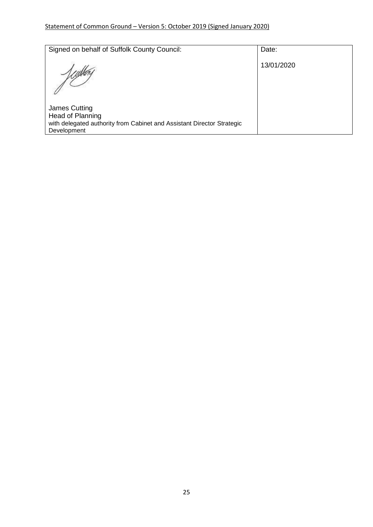# Statement of Common Ground – Version 5: October 2019 (Signed January 2020)

| Signed on behalf of Suffolk County Council:                                                                                | Date:      |
|----------------------------------------------------------------------------------------------------------------------------|------------|
|                                                                                                                            |            |
|                                                                                                                            | 13/01/2020 |
| James Cutting<br>Head of Planning<br>with delegated authority from Cabinet and Assistant Director Strategic<br>Development |            |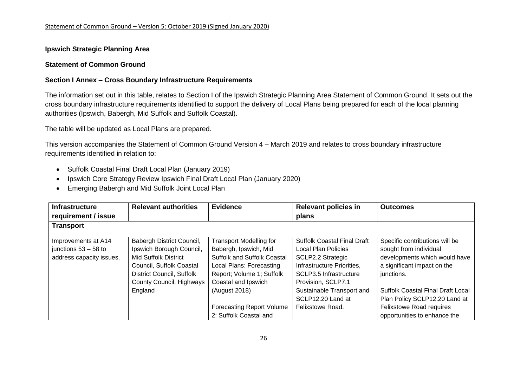#### **Ipswich Strategic Planning Area**

#### **Statement of Common Ground**

#### **Section I Annex – Cross Boundary Infrastructure Requirements**

The information set out in this table, relates to Section I of the Ipswich Strategic Planning Area Statement of Common Ground. It sets out the cross boundary infrastructure requirements identified to support the delivery of Local Plans being prepared for each of the local planning authorities (Ipswich, Babergh, Mid Suffolk and Suffolk Coastal).

The table will be updated as Local Plans are prepared.

This version accompanies the Statement of Common Ground Version 4 – March 2019 and relates to cross boundary infrastructure requirements identified in relation to:

- Suffolk Coastal Final Draft Local Plan (January 2019)
- Ipswich Core Strategy Review Ipswich Final Draft Local Plan (January 2020)
- Emerging Babergh and Mid Suffolk Joint Local Plan

| <b>Infrastructure</b>    | <b>Relevant authorities</b> | <b>Evidence</b>                    | <b>Relevant policies in</b>        | <b>Outcomes</b>                          |
|--------------------------|-----------------------------|------------------------------------|------------------------------------|------------------------------------------|
| requirement / issue      |                             |                                    | plans                              |                                          |
| <b>Transport</b>         |                             |                                    |                                    |                                          |
|                          |                             |                                    |                                    |                                          |
| Improvements at A14      | Babergh District Council,   | <b>Transport Modelling for</b>     | <b>Suffolk Coastal Final Draft</b> | Specific contributions will be           |
| junctions $53 - 58$ to   | Ipswich Borough Council,    | Babergh, Ipswich, Mid              | Local Plan Policies                | sought from individual                   |
| address capacity issues. | Mid Suffolk District        | <b>Suffolk and Suffolk Coastal</b> | <b>SCLP2.2 Strategic</b>           | developments which would have            |
|                          | Council, Suffolk Coastal    | Local Plans: Forecasting           | Infrastructure Priorities.         | a significant impact on the              |
|                          | District Council, Suffolk   | Report; Volume 1; Suffolk          | SCLP3.5 Infrastructure             | junctions.                               |
|                          | County Council, Highways    | Coastal and Ipswich                | Provision, SCLP7.1                 |                                          |
|                          | England                     | (August 2018)                      | Sustainable Transport and          | <b>Suffolk Coastal Final Draft Local</b> |
|                          |                             |                                    | SCLP12.20 Land at                  | Plan Policy SCLP12.20 Land at            |
|                          |                             | <b>Forecasting Report Volume</b>   | Felixstowe Road.                   | <b>Felixstowe Road requires</b>          |
|                          |                             | 2: Suffolk Coastal and             |                                    | opportunities to enhance the             |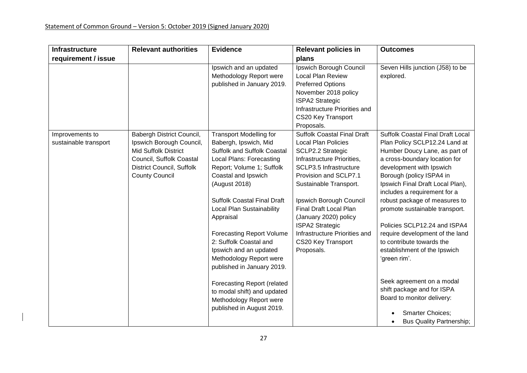| <b>Infrastructure</b>                    | <b>Relevant authorities</b>                                                                                                                                            | <b>Evidence</b>                                                                                                                                                                                                                                                                                                                                                                                                                                                                                                                                              | <b>Relevant policies in</b>                                                                                                                                                                                                                                                                                                                                                   | <b>Outcomes</b>                                                                                                                                                                                                                                                                                                                                                                                                                                                                                                                                                                                                                                   |
|------------------------------------------|------------------------------------------------------------------------------------------------------------------------------------------------------------------------|--------------------------------------------------------------------------------------------------------------------------------------------------------------------------------------------------------------------------------------------------------------------------------------------------------------------------------------------------------------------------------------------------------------------------------------------------------------------------------------------------------------------------------------------------------------|-------------------------------------------------------------------------------------------------------------------------------------------------------------------------------------------------------------------------------------------------------------------------------------------------------------------------------------------------------------------------------|---------------------------------------------------------------------------------------------------------------------------------------------------------------------------------------------------------------------------------------------------------------------------------------------------------------------------------------------------------------------------------------------------------------------------------------------------------------------------------------------------------------------------------------------------------------------------------------------------------------------------------------------------|
| requirement / issue                      |                                                                                                                                                                        |                                                                                                                                                                                                                                                                                                                                                                                                                                                                                                                                                              | plans                                                                                                                                                                                                                                                                                                                                                                         |                                                                                                                                                                                                                                                                                                                                                                                                                                                                                                                                                                                                                                                   |
|                                          |                                                                                                                                                                        | Ipswich and an updated<br>Methodology Report were<br>published in January 2019.                                                                                                                                                                                                                                                                                                                                                                                                                                                                              | Ipswich Borough Council<br><b>Local Plan Review</b><br><b>Preferred Options</b><br>November 2018 policy<br><b>ISPA2 Strategic</b><br>Infrastructure Priorities and<br>CS20 Key Transport<br>Proposals.                                                                                                                                                                        | Seven Hills junction (J58) to be<br>explored.                                                                                                                                                                                                                                                                                                                                                                                                                                                                                                                                                                                                     |
| Improvements to<br>sustainable transport | Babergh District Council,<br>Ipswich Borough Council,<br><b>Mid Suffolk District</b><br>Council, Suffolk Coastal<br>District Council, Suffolk<br><b>County Council</b> | <b>Transport Modelling for</b><br>Babergh, Ipswich, Mid<br><b>Suffolk and Suffolk Coastal</b><br>Local Plans: Forecasting<br>Report; Volume 1; Suffolk<br>Coastal and Ipswich<br>(August 2018)<br><b>Suffolk Coastal Final Draft</b><br>Local Plan Sustainability<br>Appraisal<br><b>Forecasting Report Volume</b><br>2: Suffolk Coastal and<br>Ipswich and an updated<br>Methodology Report were<br>published in January 2019.<br><b>Forecasting Report (related</b><br>to modal shift) and updated<br>Methodology Report were<br>published in August 2019. | <b>Suffolk Coastal Final Draft</b><br><b>Local Plan Policies</b><br>SCLP2.2 Strategic<br>Infrastructure Priorities,<br>SCLP3.5 Infrastructure<br>Provision and SCLP7.1<br>Sustainable Transport.<br>Ipswich Borough Council<br>Final Draft Local Plan<br>(January 2020) policy<br><b>ISPA2 Strategic</b><br>Infrastructure Priorities and<br>CS20 Key Transport<br>Proposals. | <b>Suffolk Coastal Final Draft Local</b><br>Plan Policy SCLP12.24 Land at<br>Humber Doucy Lane, as part of<br>a cross-boundary location for<br>development with Ipswich<br>Borough (policy ISPA4 in<br>Ipswich Final Draft Local Plan),<br>includes a requirement for a<br>robust package of measures to<br>promote sustainable transport.<br>Policies SCLP12.24 and ISPA4<br>require development of the land<br>to contribute towards the<br>establishment of the Ipswich<br>'green rim'.<br>Seek agreement on a modal<br>shift package and for ISPA<br>Board to monitor delivery:<br><b>Smarter Choices:</b><br><b>Bus Quality Partnership;</b> |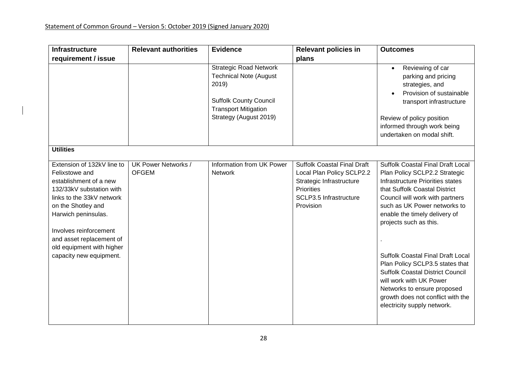| <b>Infrastructure</b>                                                                                                                                                                                                                                                                      | <b>Relevant authorities</b>         | <b>Evidence</b>                                                                                                                                                   | <b>Relevant policies in</b>                                                                                                                      | <b>Outcomes</b>                                                                                                                                                                                                                                                                                                                                                                                                                                                                                                               |
|--------------------------------------------------------------------------------------------------------------------------------------------------------------------------------------------------------------------------------------------------------------------------------------------|-------------------------------------|-------------------------------------------------------------------------------------------------------------------------------------------------------------------|--------------------------------------------------------------------------------------------------------------------------------------------------|-------------------------------------------------------------------------------------------------------------------------------------------------------------------------------------------------------------------------------------------------------------------------------------------------------------------------------------------------------------------------------------------------------------------------------------------------------------------------------------------------------------------------------|
| requirement / issue                                                                                                                                                                                                                                                                        |                                     |                                                                                                                                                                   | plans                                                                                                                                            |                                                                                                                                                                                                                                                                                                                                                                                                                                                                                                                               |
|                                                                                                                                                                                                                                                                                            |                                     | <b>Strategic Road Network</b><br><b>Technical Note (August</b><br>2019)<br><b>Suffolk County Council</b><br><b>Transport Mitigation</b><br>Strategy (August 2019) |                                                                                                                                                  | Reviewing of car<br>$\bullet$<br>parking and pricing<br>strategies, and<br>Provision of sustainable<br>transport infrastructure<br>Review of policy position<br>informed through work being<br>undertaken on modal shift.                                                                                                                                                                                                                                                                                                     |
| <b>Utilities</b>                                                                                                                                                                                                                                                                           |                                     |                                                                                                                                                                   |                                                                                                                                                  |                                                                                                                                                                                                                                                                                                                                                                                                                                                                                                                               |
| Extension of 132kV line to<br>Felixstowe and<br>establishment of a new<br>132/33kV substation with<br>links to the 33kV network<br>on the Shotley and<br>Harwich peninsulas.<br>Involves reinforcement<br>and asset replacement of<br>old equipment with higher<br>capacity new equipment. | UK Power Networks /<br><b>OFGEM</b> | Information from UK Power<br><b>Network</b>                                                                                                                       | <b>Suffolk Coastal Final Draft</b><br>Local Plan Policy SCLP2.2<br>Strategic Infrastructure<br>Priorities<br>SCLP3.5 Infrastructure<br>Provision | <b>Suffolk Coastal Final Draft Local</b><br>Plan Policy SCLP2.2 Strategic<br>Infrastructure Priorities states<br>that Suffolk Coastal District<br>Council will work with partners<br>such as UK Power networks to<br>enable the timely delivery of<br>projects such as this.<br>Suffolk Coastal Final Draft Local<br>Plan Policy SCLP3.5 states that<br><b>Suffolk Coastal District Council</b><br>will work with UK Power<br>Networks to ensure proposed<br>growth does not conflict with the<br>electricity supply network. |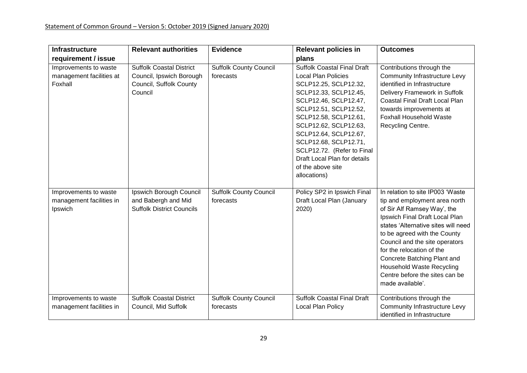| <b>Infrastructure</b>                                        | <b>Relevant authorities</b>                                                                       | <b>Evidence</b>                            | <b>Relevant policies in</b>                                                                                                                                                                                                                                                                                                                                                 | <b>Outcomes</b>                                                                                                                                                                                                                                                                                                                                                                                   |
|--------------------------------------------------------------|---------------------------------------------------------------------------------------------------|--------------------------------------------|-----------------------------------------------------------------------------------------------------------------------------------------------------------------------------------------------------------------------------------------------------------------------------------------------------------------------------------------------------------------------------|---------------------------------------------------------------------------------------------------------------------------------------------------------------------------------------------------------------------------------------------------------------------------------------------------------------------------------------------------------------------------------------------------|
| requirement / issue                                          |                                                                                                   |                                            | plans                                                                                                                                                                                                                                                                                                                                                                       |                                                                                                                                                                                                                                                                                                                                                                                                   |
| Improvements to waste<br>management facilities at<br>Foxhall | <b>Suffolk Coastal District</b><br>Council, Ipswich Borough<br>Council, Suffolk County<br>Council | <b>Suffolk County Council</b><br>forecasts | <b>Suffolk Coastal Final Draft</b><br><b>Local Plan Policies</b><br>SCLP12.25, SCLP12.32,<br>SCLP12.33, SCLP12.45,<br>SCLP12.46, SCLP12.47,<br>SCLP12.51, SCLP12.52,<br>SCLP12.58, SCLP12.61,<br>SCLP12.62, SCLP12.63,<br>SCLP12.64, SCLP12.67,<br>SCLP12.68, SCLP12.71,<br>SCLP12.72. (Refer to Final<br>Draft Local Plan for details<br>of the above site<br>allocations) | Contributions through the<br><b>Community Infrastructure Levy</b><br>identified in Infrastructure<br>Delivery Framework in Suffolk<br><b>Coastal Final Draft Local Plan</b><br>towards improvements at<br><b>Foxhall Household Waste</b><br>Recycling Centre.                                                                                                                                     |
| Improvements to waste<br>management facilities in<br>Ipswich | Ipswich Borough Council<br>and Babergh and Mid<br><b>Suffolk District Councils</b>                | <b>Suffolk County Council</b><br>forecasts | Policy SP2 in Ipswich Final<br>Draft Local Plan (January<br>2020)                                                                                                                                                                                                                                                                                                           | In relation to site IP003 'Waste<br>tip and employment area north<br>of Sir Alf Ramsey Way', the<br>Ipswich Final Draft Local Plan<br>states 'Alternative sites will need<br>to be agreed with the County<br>Council and the site operators<br>for the relocation of the<br>Concrete Batching Plant and<br><b>Household Waste Recycling</b><br>Centre before the sites can be<br>made available'. |
| Improvements to waste<br>management facilities in            | <b>Suffolk Coastal District</b><br>Council, Mid Suffolk                                           | <b>Suffolk County Council</b><br>forecasts | <b>Suffolk Coastal Final Draft</b><br>Local Plan Policy                                                                                                                                                                                                                                                                                                                     | Contributions through the<br><b>Community Infrastructure Levy</b><br>identified in Infrastructure                                                                                                                                                                                                                                                                                                 |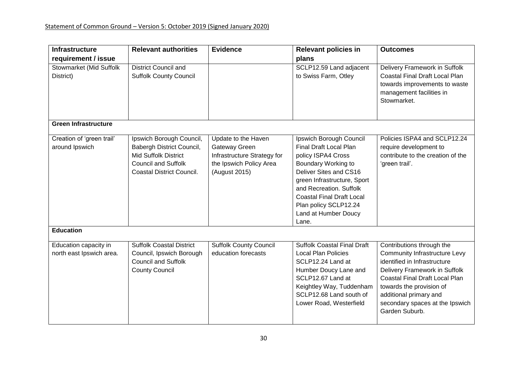| <b>Infrastructure</b>                             | <b>Relevant authorities</b>                                                                                                                            | <b>Evidence</b>                                                                                                 | <b>Relevant policies in</b>                                                                                                                                                                                                                                                      | <b>Outcomes</b>                                                                                                                                                                                                                                                                 |
|---------------------------------------------------|--------------------------------------------------------------------------------------------------------------------------------------------------------|-----------------------------------------------------------------------------------------------------------------|----------------------------------------------------------------------------------------------------------------------------------------------------------------------------------------------------------------------------------------------------------------------------------|---------------------------------------------------------------------------------------------------------------------------------------------------------------------------------------------------------------------------------------------------------------------------------|
| requirement / issue                               |                                                                                                                                                        |                                                                                                                 | plans                                                                                                                                                                                                                                                                            |                                                                                                                                                                                                                                                                                 |
| Stowmarket (Mid Suffolk<br>District)              | <b>District Council and</b><br><b>Suffolk County Council</b>                                                                                           |                                                                                                                 | SCLP12.59 Land adjacent<br>to Swiss Farm, Otley                                                                                                                                                                                                                                  | Delivery Framework in Suffolk<br>Coastal Final Draft Local Plan<br>towards improvements to waste<br>management facilities in<br>Stowmarket.                                                                                                                                     |
| <b>Green Infrastructure</b>                       |                                                                                                                                                        |                                                                                                                 |                                                                                                                                                                                                                                                                                  |                                                                                                                                                                                                                                                                                 |
| Creation of 'green trail'<br>around Ipswich       | Ipswich Borough Council,<br>Babergh District Council,<br><b>Mid Suffolk District</b><br><b>Council and Suffolk</b><br><b>Coastal District Council.</b> | Update to the Haven<br>Gateway Green<br>Infrastructure Strategy for<br>the Ipswich Policy Area<br>(August 2015) | Ipswich Borough Council<br>Final Draft Local Plan<br>policy ISPA4 Cross<br>Boundary Working to<br>Deliver Sites and CS16<br>green Infrastructure, Sport<br>and Recreation, Suffolk<br><b>Coastal Final Draft Local</b><br>Plan policy SCLP12.24<br>Land at Humber Doucy<br>Lane. | Policies ISPA4 and SCLP12.24<br>require development to<br>contribute to the creation of the<br>'green trail'.                                                                                                                                                                   |
| <b>Education</b>                                  |                                                                                                                                                        |                                                                                                                 |                                                                                                                                                                                                                                                                                  |                                                                                                                                                                                                                                                                                 |
| Education capacity in<br>north east Ipswich area. | <b>Suffolk Coastal District</b><br>Council, Ipswich Borough<br><b>Council and Suffolk</b><br><b>County Council</b>                                     | <b>Suffolk County Council</b><br>education forecasts                                                            | <b>Suffolk Coastal Final Draft</b><br><b>Local Plan Policies</b><br>SCLP12.24 Land at<br>Humber Doucy Lane and<br>SCLP12.67 Land at<br>Keightley Way, Tuddenham<br>SCLP12.68 Land south of<br>Lower Road, Westerfield                                                            | Contributions through the<br><b>Community Infrastructure Levy</b><br>identified in Infrastructure<br>Delivery Framework in Suffolk<br>Coastal Final Draft Local Plan<br>towards the provision of<br>additional primary and<br>secondary spaces at the Ipswich<br>Garden Suburb. |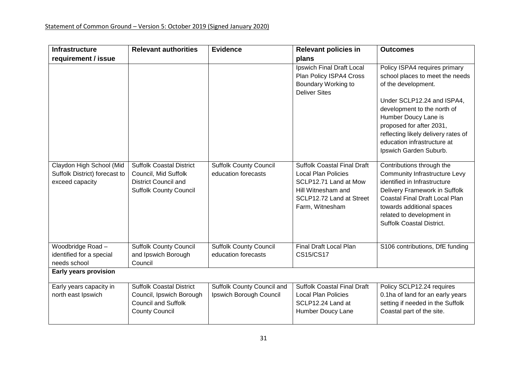| <b>Infrastructure</b>                                                        | <b>Relevant authorities</b>                                                                                             | <b>Evidence</b>                                       | <b>Relevant policies in</b>                                                                                                                                    | <b>Outcomes</b>                                                                                                                                                                                                                                                                                          |
|------------------------------------------------------------------------------|-------------------------------------------------------------------------------------------------------------------------|-------------------------------------------------------|----------------------------------------------------------------------------------------------------------------------------------------------------------------|----------------------------------------------------------------------------------------------------------------------------------------------------------------------------------------------------------------------------------------------------------------------------------------------------------|
| requirement / issue                                                          |                                                                                                                         |                                                       | plans                                                                                                                                                          |                                                                                                                                                                                                                                                                                                          |
|                                                                              |                                                                                                                         |                                                       | Ipswich Final Draft Local<br>Plan Policy ISPA4 Cross<br>Boundary Working to<br><b>Deliver Sites</b>                                                            | Policy ISPA4 requires primary<br>school places to meet the needs<br>of the development.<br>Under SCLP12.24 and ISPA4,<br>development to the north of<br>Humber Doucy Lane is<br>proposed for after 2031,<br>reflecting likely delivery rates of<br>education infrastructure at<br>Ipswich Garden Suburb. |
| Claydon High School (Mid<br>Suffolk District) forecast to<br>exceed capacity | <b>Suffolk Coastal District</b><br>Council, Mid Suffolk<br><b>District Council and</b><br><b>Suffolk County Council</b> | <b>Suffolk County Council</b><br>education forecasts  | <b>Suffolk Coastal Final Draft</b><br><b>Local Plan Policies</b><br>SCLP12.71 Land at Mow<br>Hill Witnesham and<br>SCLP12.72 Land at Street<br>Farm, Witnesham | Contributions through the<br><b>Community Infrastructure Levy</b><br>identified in Infrastructure<br>Delivery Framework in Suffolk<br>Coastal Final Draft Local Plan<br>towards additional spaces<br>related to development in<br><b>Suffolk Coastal District.</b>                                       |
| Woodbridge Road -<br>identified for a special<br>needs school                | <b>Suffolk County Council</b><br>and Ipswich Borough<br>Council                                                         | <b>Suffolk County Council</b><br>education forecasts  | Final Draft Local Plan<br><b>CS15/CS17</b>                                                                                                                     | S106 contributions, DfE funding                                                                                                                                                                                                                                                                          |
| Early years provision                                                        |                                                                                                                         |                                                       |                                                                                                                                                                |                                                                                                                                                                                                                                                                                                          |
| Early years capacity in<br>north east Ipswich                                | <b>Suffolk Coastal District</b><br>Council, Ipswich Borough<br><b>Council and Suffolk</b><br><b>County Council</b>      | Suffolk County Council and<br>Ipswich Borough Council | <b>Suffolk Coastal Final Draft</b><br><b>Local Plan Policies</b><br>SCLP12.24 Land at<br>Humber Doucy Lane                                                     | Policy SCLP12.24 requires<br>0.1ha of land for an early years<br>setting if needed in the Suffolk<br>Coastal part of the site.                                                                                                                                                                           |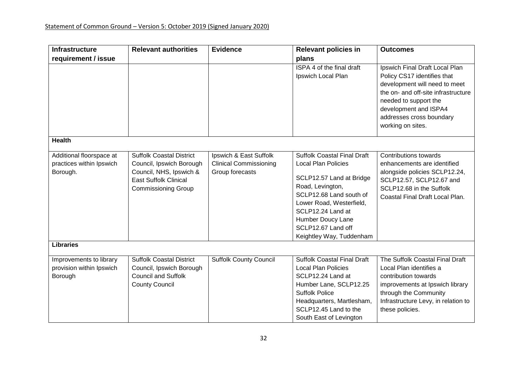| Infrastructure                                                   | <b>Relevant authorities</b>                                                                                                                          | <b>Evidence</b>                                                            | <b>Relevant policies in</b>                                                                                                                                                                                                                                         | <b>Outcomes</b>                                                                                                                                                                                                                          |
|------------------------------------------------------------------|------------------------------------------------------------------------------------------------------------------------------------------------------|----------------------------------------------------------------------------|---------------------------------------------------------------------------------------------------------------------------------------------------------------------------------------------------------------------------------------------------------------------|------------------------------------------------------------------------------------------------------------------------------------------------------------------------------------------------------------------------------------------|
| requirement / issue                                              |                                                                                                                                                      |                                                                            | plans                                                                                                                                                                                                                                                               |                                                                                                                                                                                                                                          |
|                                                                  |                                                                                                                                                      |                                                                            | ISPA 4 of the final draft<br>Ipswich Local Plan                                                                                                                                                                                                                     | Ipswich Final Draft Local Plan<br>Policy CS17 identifies that<br>development will need to meet<br>the on- and off-site infrastructure<br>needed to support the<br>development and ISPA4<br>addresses cross boundary<br>working on sites. |
| <b>Health</b>                                                    |                                                                                                                                                      |                                                                            |                                                                                                                                                                                                                                                                     |                                                                                                                                                                                                                                          |
| Additional floorspace at<br>practices within Ipswich<br>Borough. | <b>Suffolk Coastal District</b><br>Council, Ipswich Borough<br>Council, NHS, Ipswich &<br><b>East Suffolk Clinical</b><br><b>Commissioning Group</b> | Ipswich & East Suffolk<br><b>Clinical Commissioning</b><br>Group forecasts | <b>Suffolk Coastal Final Draft</b><br><b>Local Plan Policies</b><br>SCLP12.57 Land at Bridge<br>Road, Levington,<br>SCLP12.68 Land south of<br>Lower Road, Westerfield,<br>SCLP12.24 Land at<br>Humber Doucy Lane<br>SCLP12.67 Land off<br>Keightley Way, Tuddenham | Contributions towards<br>enhancements are identified<br>alongside policies SCLP12.24,<br>SCLP12.57, SCLP12.67 and<br>SCLP12.68 in the Suffolk<br>Coastal Final Draft Local Plan.                                                         |
| <b>Libraries</b>                                                 |                                                                                                                                                      |                                                                            |                                                                                                                                                                                                                                                                     |                                                                                                                                                                                                                                          |
| Improvements to library<br>provision within Ipswich<br>Borough   | <b>Suffolk Coastal District</b><br>Council, Ipswich Borough<br><b>Council and Suffolk</b><br><b>County Council</b>                                   | <b>Suffolk County Council</b>                                              | <b>Suffolk Coastal Final Draft</b><br><b>Local Plan Policies</b><br>SCLP12.24 Land at<br>Humber Lane, SCLP12.25<br><b>Suffolk Police</b><br>Headquarters, Martlesham,<br>SCLP12.45 Land to the<br>South East of Levington                                           | The Suffolk Coastal Final Draft<br>Local Plan identifies a<br>contribution towards<br>improvements at Ipswich library<br>through the Community<br>Infrastructure Levy, in relation to<br>these policies.                                 |